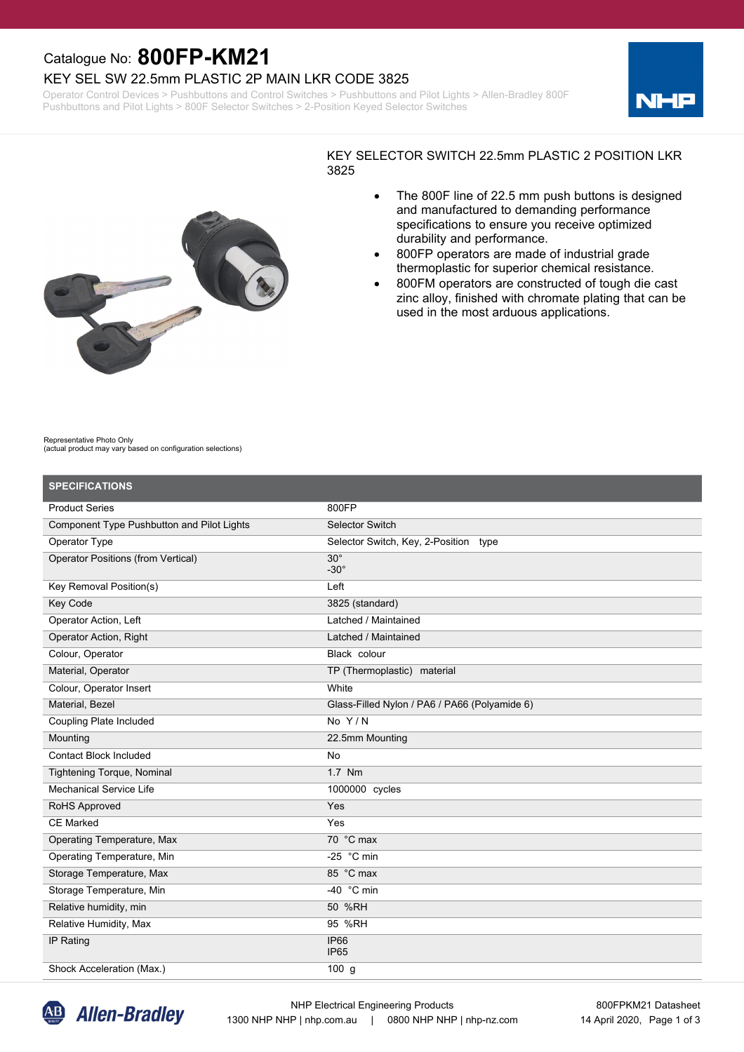## Catalogue No: **800FP-KM21**

### KEY SEL SW 22.5mm PLASTIC 2P MAIN LKR CODE 3825

Operator Control Devices > Pushbuttons and Control Switches > Pushbuttons and Pilot Lights > Allen-Bradley 800F Pushbuttons and Pilot Lights > 800F Selector Switches > 2-Position Keyed Selector Switches





#### KEY SELECTOR SWITCH 22.5mm PLASTIC 2 POSITION LKR 3825

- · The 800F line of 22.5 mm push buttons is designed and manufactured to demanding performance specifications to ensure you receive optimized durability and performance.
- · 800FP operators are made of industrial grade thermoplastic for superior chemical resistance.
- 800FM operators are constructed of tough die cast zinc alloy, finished with chromate plating that can be used in the most arduous applications.

Representative Photo Only (actual product may vary based on configuration selections)

| <b>SPECIFICATIONS</b>                      |                                               |
|--------------------------------------------|-----------------------------------------------|
| <b>Product Series</b>                      | 800FP                                         |
| Component Type Pushbutton and Pilot Lights | <b>Selector Switch</b>                        |
| Operator Type                              | Selector Switch, Key, 2-Position type         |
| <b>Operator Positions (from Vertical)</b>  | $30^\circ$<br>$-30^\circ$                     |
| Key Removal Position(s)                    | Left                                          |
| Key Code                                   | 3825 (standard)                               |
| Operator Action, Left                      | Latched / Maintained                          |
| Operator Action, Right                     | Latched / Maintained                          |
| Colour, Operator                           | Black colour                                  |
| Material, Operator                         | TP (Thermoplastic) material                   |
| Colour, Operator Insert                    | White                                         |
| Material, Bezel                            | Glass-Filled Nylon / PA6 / PA66 (Polyamide 6) |
| <b>Coupling Plate Included</b>             | No $Y/N$                                      |
| Mounting                                   | 22.5mm Mounting                               |
| <b>Contact Block Included</b>              | <b>No</b>                                     |
| Tightening Torque, Nominal                 | 1.7 Nm                                        |
| <b>Mechanical Service Life</b>             | 1000000 cycles                                |
| RoHS Approved                              | Yes                                           |
| <b>CE Marked</b>                           | Yes                                           |
| Operating Temperature, Max                 | 70 °C max                                     |
| Operating Temperature, Min                 | -25 $\degree$ C min                           |
| Storage Temperature, Max                   | 85 °C max                                     |
| Storage Temperature, Min                   | -40 $°C$ min                                  |
| Relative humidity, min                     | 50 %RH                                        |
| Relative Humidity, Max                     | 95 %RH                                        |
| IP Rating                                  | <b>IP66</b><br>IP <sub>65</sub>               |
| Shock Acceleration (Max.)                  | 100 <sub>g</sub>                              |

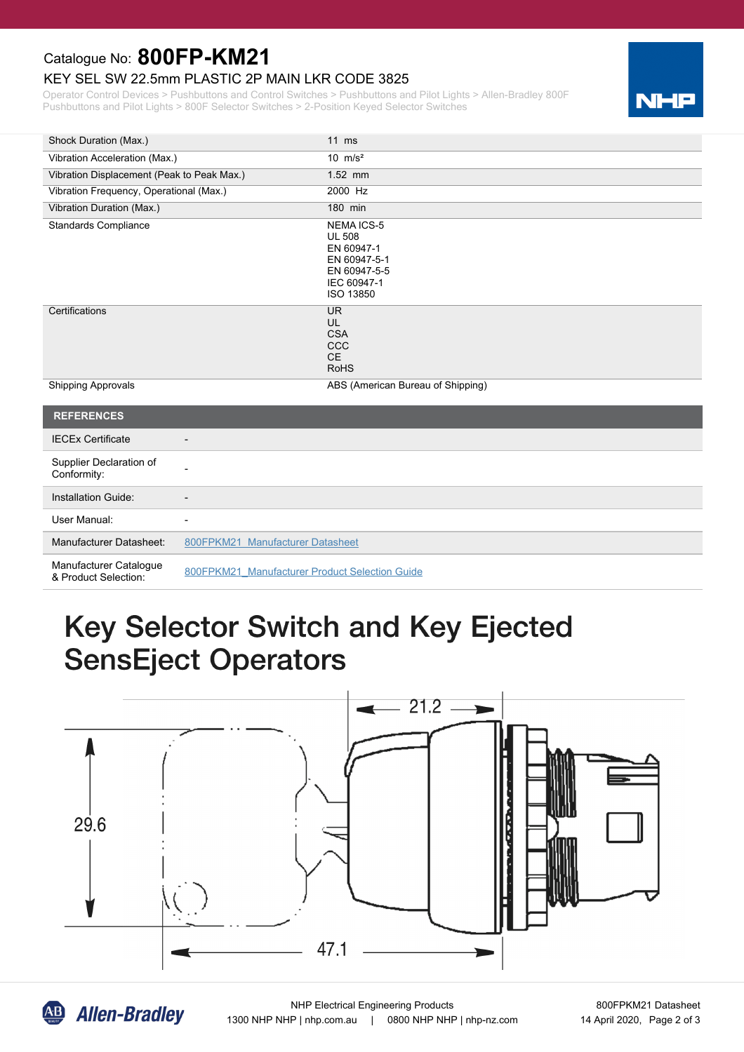## Catalogue No: **800FP-KM21**

#### KEY SEL SW 22.5mm PLASTIC 2P MAIN LKR CODE 3825

Operator Control Devices > Pushbuttons and Control Switches > Pushbuttons and Pilot Lights > Allen-Bradley 800F Pushbuttons and Pilot Lights > 800F Selector Switches > 2-Position Keyed Selector Switches



| Shock Duration (Max.)                      | $11$ ms                                                                                                             |
|--------------------------------------------|---------------------------------------------------------------------------------------------------------------------|
| Vibration Acceleration (Max.)              | 10 $m/s^2$                                                                                                          |
| Vibration Displacement (Peak to Peak Max.) | $1.52$ mm                                                                                                           |
| Vibration Frequency, Operational (Max.)    | 2000 Hz                                                                                                             |
| Vibration Duration (Max.)                  | 180 min                                                                                                             |
| <b>Standards Compliance</b>                | <b>NEMA ICS-5</b><br><b>UL 508</b><br>EN 60947-1<br>EN 60947-5-1<br>EN 60947-5-5<br>IEC 60947-1<br><b>ISO 13850</b> |
| Certifications                             | UR.<br>UL<br><b>CSA</b><br><b>CCC</b><br>CE.<br><b>RoHS</b>                                                         |
| <b>Shipping Approvals</b>                  | ABS (American Bureau of Shipping)                                                                                   |

| <b>REFERENCES</b>                              |                                                |
|------------------------------------------------|------------------------------------------------|
| <b>IECEx Certificate</b>                       | $\overline{\phantom{0}}$                       |
| Supplier Declaration of<br>Conformity:         |                                                |
| Installation Guide:                            |                                                |
| User Manual:                                   | $\overline{\phantom{0}}$                       |
| Manufacturer Datasheet:                        | 800FPKM21 Manufacturer Datasheet               |
| Manufacturer Catalogue<br>& Product Selection: | 800FPKM21 Manufacturer Product Selection Guide |

# Key Selector Switch and Key Ejected **SensEject Operators**